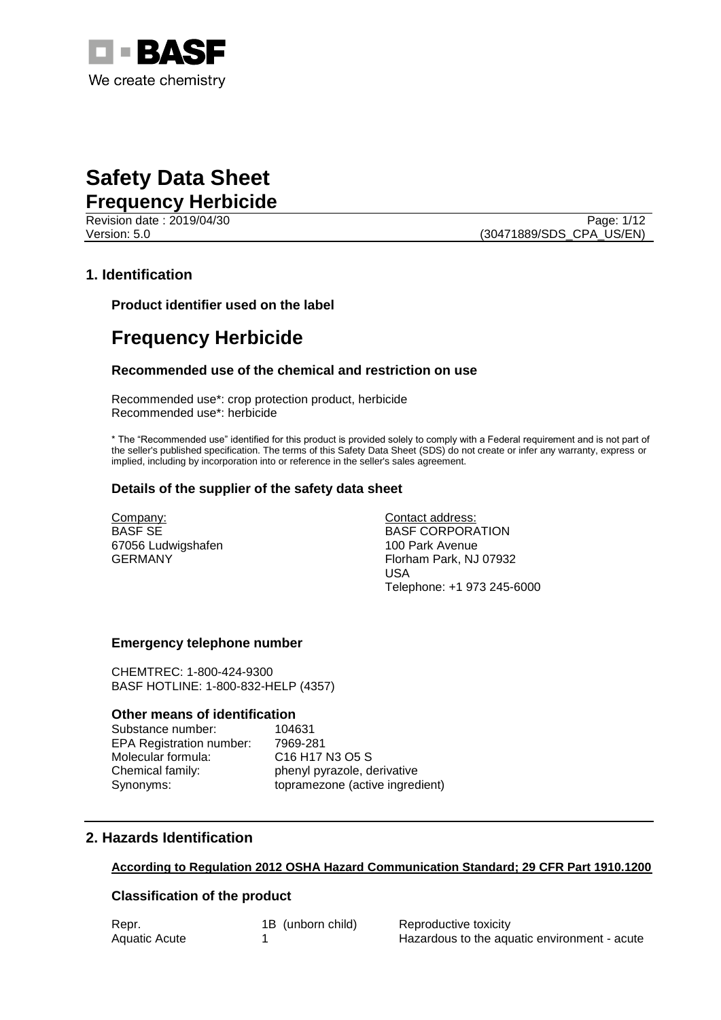

Page: 1/12 Version: 5.0 (30471889/SDS\_CPA\_US/EN)

#### **1. Identification**

**Product identifier used on the label**

## **Frequency Herbicide**

#### **Recommended use of the chemical and restriction on use**

Recommended use\*: crop protection product, herbicide Recommended use\*: herbicide

\* The "Recommended use" identified for this product is provided solely to comply with a Federal requirement and is not part of the seller's published specification. The terms of this Safety Data Sheet (SDS) do not create or infer any warranty, express or implied, including by incorporation into or reference in the seller's sales agreement.

#### **Details of the supplier of the safety data sheet**

Company: BASF SE 67056 Ludwigshafen GERMANY

Contact address: BASF CORPORATION 100 Park Avenue Florham Park, NJ 07932 USA Telephone: +1 973 245-6000

#### **Emergency telephone number**

CHEMTREC: 1-800-424-9300 BASF HOTLINE: 1-800-832-HELP (4357)

#### **Other means of identification**

Substance number: 104631 EPA Registration number: 7969-281 Molecular formula: C16 H17 N3 O5 S

Chemical family: phenyl pyrazole, derivative Synonyms: topramezone (active ingredient)

#### **2. Hazards Identification**

#### **According to Regulation 2012 OSHA Hazard Communication Standard; 29 CFR Part 1910.1200**

#### **Classification of the product**

| Repr.         | 1B (unborn child) | Reproductive toxicity                        |
|---------------|-------------------|----------------------------------------------|
| Aquatic Acute |                   | Hazardous to the aquatic environment - acute |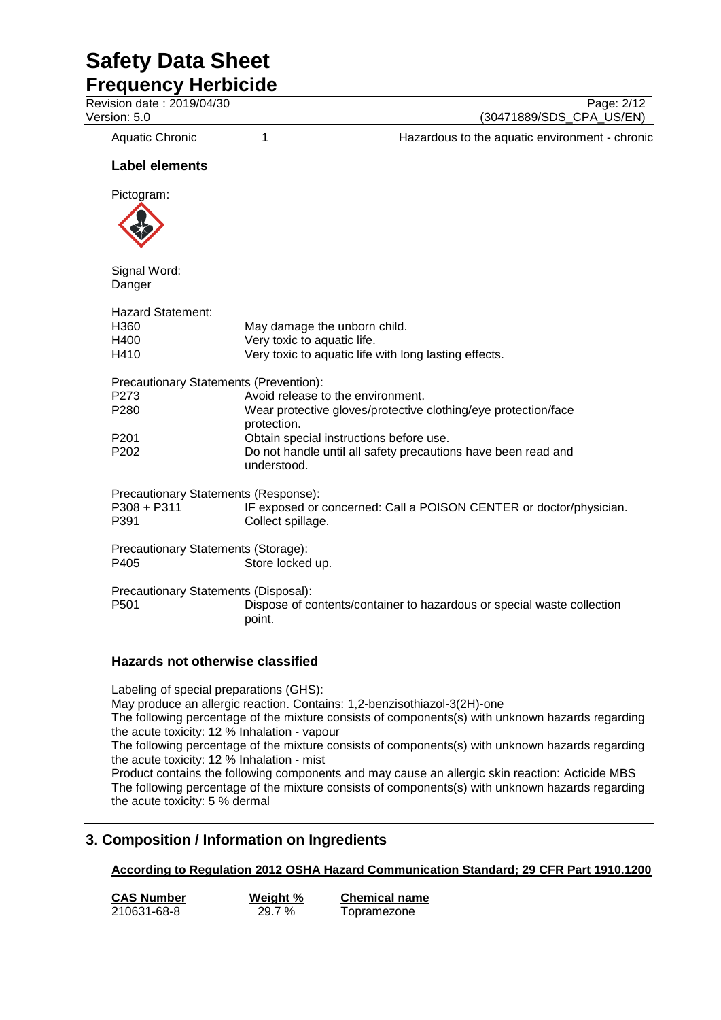**Frequency Herbicide**

Revision date : 2019/04/30 Page: 2/12<br>Version: 5.0 (30471889/SDS CPA US/EN)

(30471889/SDS\_CPA\_US/EN)

Aquatic Chronic 1 1 1 Hazardous to the aquatic environment - chronic

#### **Label elements**

Pictogram:



Signal Word: Danger

| Hazard Statement:<br>H360<br>H400<br>H410                       | May damage the unborn child.<br>Very toxic to aquatic life.<br>Very toxic to aquatic life with long lasting effects. |  |
|-----------------------------------------------------------------|----------------------------------------------------------------------------------------------------------------------|--|
| Precautionary Statements (Prevention):                          |                                                                                                                      |  |
| P273                                                            | Avoid release to the environment.                                                                                    |  |
| P280                                                            | Wear protective gloves/protective clothing/eye protection/face<br>protection.                                        |  |
| P201                                                            | Obtain special instructions before use.                                                                              |  |
| P202                                                            | Do not handle until all safety precautions have been read and<br>understood.                                         |  |
| Precautionary Statements (Response):<br>P308 + P311<br>P391     | IF exposed or concerned: Call a POISON CENTER or doctor/physician.<br>Collect spillage.                              |  |
| Precautionary Statements (Storage):<br>P405<br>Store locked up. |                                                                                                                      |  |
| Precautionary Statements (Disposal):<br>P501                    | Dispose of contents/container to hazardous or special waste collection<br>point.                                     |  |
| <b>Hazards not otherwise classified</b>                         |                                                                                                                      |  |

Labeling of special preparations (GHS): May produce an allergic reaction. Contains: 1,2-benzisothiazol-3(2H)-one The following percentage of the mixture consists of components(s) with unknown hazards regarding the acute toxicity: 12 % Inhalation - vapour The following percentage of the mixture consists of components(s) with unknown hazards regarding the acute toxicity: 12 % Inhalation - mist Product contains the following components and may cause an allergic skin reaction: Acticide MBS The following percentage of the mixture consists of components(s) with unknown hazards regarding the acute toxicity: 5 % dermal

### **3. Composition / Information on Ingredients**

**According to Regulation 2012 OSHA Hazard Communication Standard; 29 CFR Part 1910.1200**

| <b>CAS Number</b> | Weight % | <b>Chemical name</b> |
|-------------------|----------|----------------------|
| 210631-68-8       | 29.7 %   | Topramezone          |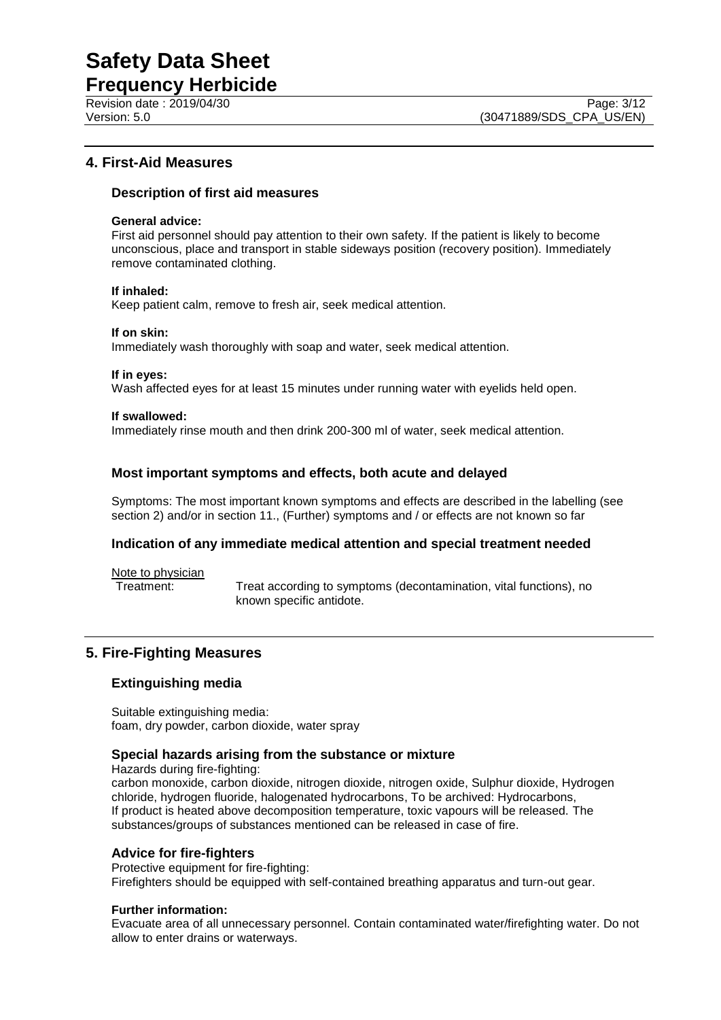**Frequency Herbicide** Revision date : 2019/04/30 Page: 3/12<br>Version: 5.0 (30471889/SDS CPA US/EN)

#### **4. First-Aid Measures**

#### **Description of first aid measures**

#### **General advice:**

First aid personnel should pay attention to their own safety. If the patient is likely to become unconscious, place and transport in stable sideways position (recovery position). Immediately remove contaminated clothing.

#### **If inhaled:**

Keep patient calm, remove to fresh air, seek medical attention.

#### **If on skin:**

Immediately wash thoroughly with soap and water, seek medical attention.

#### **If in eyes:**

Wash affected eyes for at least 15 minutes under running water with eyelids held open.

#### **If swallowed:**

Immediately rinse mouth and then drink 200-300 ml of water, seek medical attention.

#### **Most important symptoms and effects, both acute and delayed**

Symptoms: The most important known symptoms and effects are described in the labelling (see section 2) and/or in section 11., (Further) symptoms and / or effects are not known so far

#### **Indication of any immediate medical attention and special treatment needed**

Note to physician<br>Treatment:

Treat according to symptoms (decontamination, vital functions), no known specific antidote.

#### **5. Fire-Fighting Measures**

#### **Extinguishing media**

Suitable extinguishing media: foam, dry powder, carbon dioxide, water spray

#### **Special hazards arising from the substance or mixture**

Hazards during fire-fighting:

carbon monoxide, carbon dioxide, nitrogen dioxide, nitrogen oxide, Sulphur dioxide, Hydrogen chloride, hydrogen fluoride, halogenated hydrocarbons, To be archived: Hydrocarbons, If product is heated above decomposition temperature, toxic vapours will be released. The substances/groups of substances mentioned can be released in case of fire.

#### **Advice for fire-fighters**

Protective equipment for fire-fighting: Firefighters should be equipped with self-contained breathing apparatus and turn-out gear.

#### **Further information:**

Evacuate area of all unnecessary personnel. Contain contaminated water/firefighting water. Do not allow to enter drains or waterways.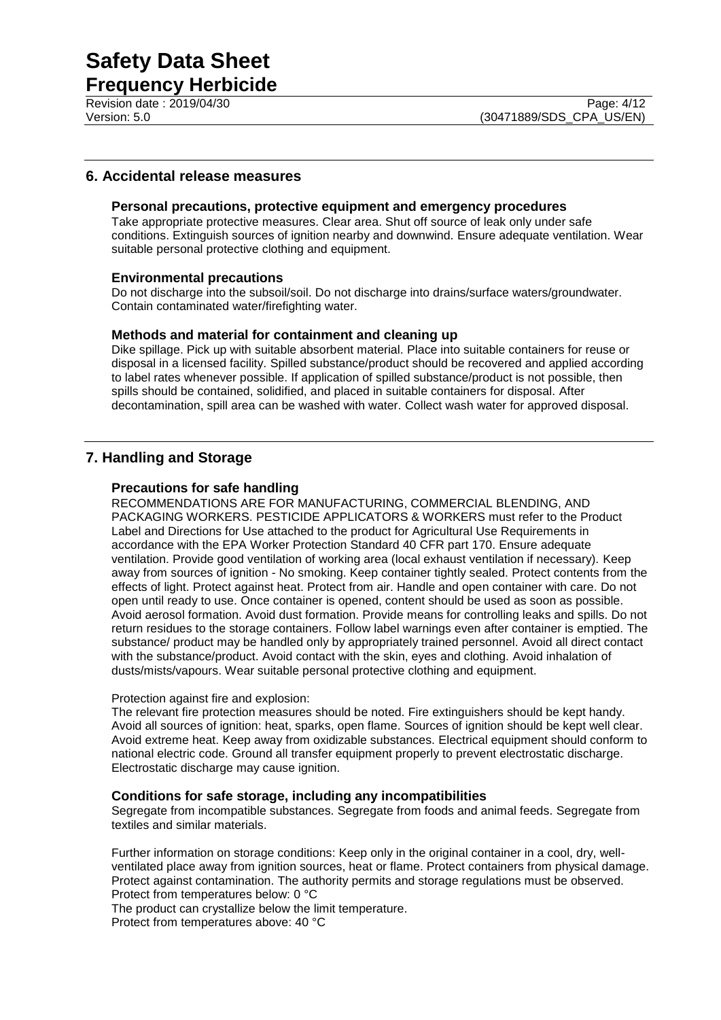**Frequency Herbicide**

#### **6. Accidental release measures**

#### **Personal precautions, protective equipment and emergency procedures**

Take appropriate protective measures. Clear area. Shut off source of leak only under safe conditions. Extinguish sources of ignition nearby and downwind. Ensure adequate ventilation. Wear suitable personal protective clothing and equipment.

#### **Environmental precautions**

Do not discharge into the subsoil/soil. Do not discharge into drains/surface waters/groundwater. Contain contaminated water/firefighting water.

#### **Methods and material for containment and cleaning up**

Dike spillage. Pick up with suitable absorbent material. Place into suitable containers for reuse or disposal in a licensed facility. Spilled substance/product should be recovered and applied according to label rates whenever possible. If application of spilled substance/product is not possible, then spills should be contained, solidified, and placed in suitable containers for disposal. After decontamination, spill area can be washed with water. Collect wash water for approved disposal.

#### **7. Handling and Storage**

#### **Precautions for safe handling**

RECOMMENDATIONS ARE FOR MANUFACTURING, COMMERCIAL BLENDING, AND PACKAGING WORKERS. PESTICIDE APPLICATORS & WORKERS must refer to the Product Label and Directions for Use attached to the product for Agricultural Use Requirements in accordance with the EPA Worker Protection Standard 40 CFR part 170. Ensure adequate ventilation. Provide good ventilation of working area (local exhaust ventilation if necessary). Keep away from sources of ignition - No smoking. Keep container tightly sealed. Protect contents from the effects of light. Protect against heat. Protect from air. Handle and open container with care. Do not open until ready to use. Once container is opened, content should be used as soon as possible. Avoid aerosol formation. Avoid dust formation. Provide means for controlling leaks and spills. Do not return residues to the storage containers. Follow label warnings even after container is emptied. The substance/ product may be handled only by appropriately trained personnel. Avoid all direct contact with the substance/product. Avoid contact with the skin, eyes and clothing. Avoid inhalation of dusts/mists/vapours. Wear suitable personal protective clothing and equipment.

#### Protection against fire and explosion:

The relevant fire protection measures should be noted. Fire extinguishers should be kept handy. Avoid all sources of ignition: heat, sparks, open flame. Sources of ignition should be kept well clear. Avoid extreme heat. Keep away from oxidizable substances. Electrical equipment should conform to national electric code. Ground all transfer equipment properly to prevent electrostatic discharge. Electrostatic discharge may cause ignition.

#### **Conditions for safe storage, including any incompatibilities**

Segregate from incompatible substances. Segregate from foods and animal feeds. Segregate from textiles and similar materials.

Further information on storage conditions: Keep only in the original container in a cool, dry, wellventilated place away from ignition sources, heat or flame. Protect containers from physical damage. Protect against contamination. The authority permits and storage regulations must be observed. Protect from temperatures below: 0 °C

The product can crystallize below the limit temperature.

Protect from temperatures above: 40 °C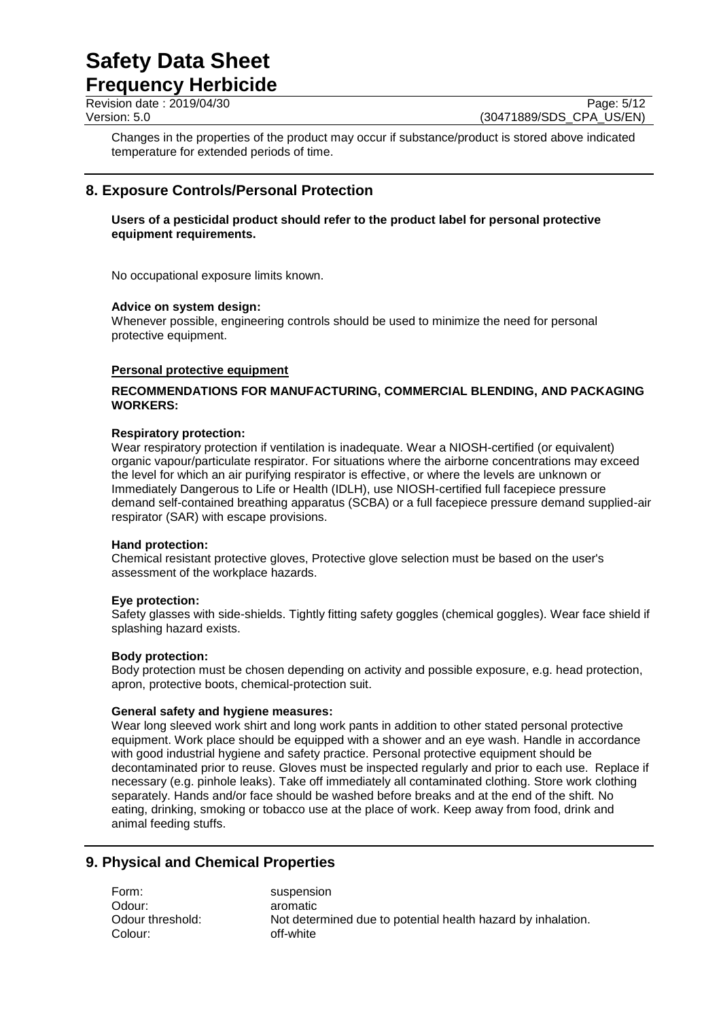### **Frequency Herbicide**

Revision date : 2019/04/30 Page: 5/12<br>Version: 5.0 (30471889/SDS CPA US/EN) (30471889/SDS CPA US/EN)

Changes in the properties of the product may occur if substance/product is stored above indicated temperature for extended periods of time.

### **8. Exposure Controls/Personal Protection**

#### **Users of a pesticidal product should refer to the product label for personal protective equipment requirements.**

No occupational exposure limits known.

#### **Advice on system design:**

Whenever possible, engineering controls should be used to minimize the need for personal protective equipment.

#### **Personal protective equipment**

#### **RECOMMENDATIONS FOR MANUFACTURING, COMMERCIAL BLENDING, AND PACKAGING WORKERS:**

#### **Respiratory protection:**

Wear respiratory protection if ventilation is inadequate. Wear a NIOSH-certified (or equivalent) organic vapour/particulate respirator. For situations where the airborne concentrations may exceed the level for which an air purifying respirator is effective, or where the levels are unknown or Immediately Dangerous to Life or Health (IDLH), use NIOSH-certified full facepiece pressure demand self-contained breathing apparatus (SCBA) or a full facepiece pressure demand supplied-air respirator (SAR) with escape provisions.

#### **Hand protection:**

Chemical resistant protective gloves, Protective glove selection must be based on the user's assessment of the workplace hazards.

#### **Eye protection:**

Safety glasses with side-shields. Tightly fitting safety goggles (chemical goggles). Wear face shield if splashing hazard exists.

#### **Body protection:**

Body protection must be chosen depending on activity and possible exposure, e.g. head protection, apron, protective boots, chemical-protection suit.

#### **General safety and hygiene measures:**

Wear long sleeved work shirt and long work pants in addition to other stated personal protective equipment. Work place should be equipped with a shower and an eye wash. Handle in accordance with good industrial hygiene and safety practice. Personal protective equipment should be decontaminated prior to reuse. Gloves must be inspected regularly and prior to each use. Replace if necessary (e.g. pinhole leaks). Take off immediately all contaminated clothing. Store work clothing separately. Hands and/or face should be washed before breaks and at the end of the shift. No eating, drinking, smoking or tobacco use at the place of work. Keep away from food, drink and animal feeding stuffs.

#### **9. Physical and Chemical Properties**

Form: suspension Odour: aromatic Colour: off-white

Odour threshold: Not determined due to potential health hazard by inhalation.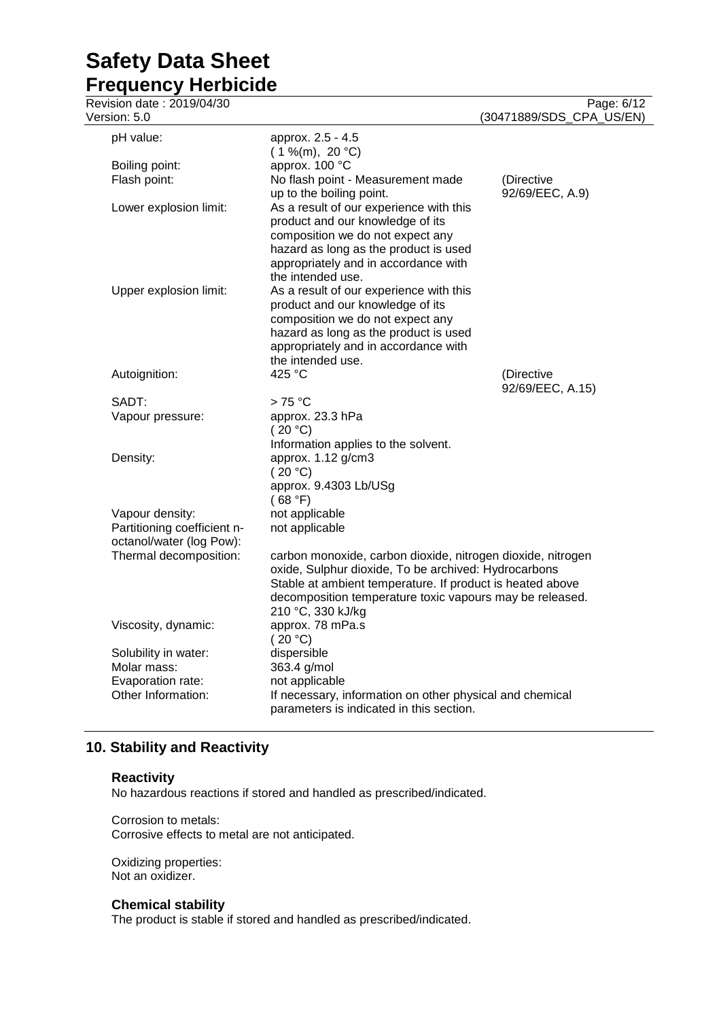| Revision date: 2019/04/30<br>Version: 5.0                                  |                                                                                                                                                                                                                                                                   | Page: 6/12<br>(30471889/SDS_CPA_US/EN) |
|----------------------------------------------------------------------------|-------------------------------------------------------------------------------------------------------------------------------------------------------------------------------------------------------------------------------------------------------------------|----------------------------------------|
| pH value:                                                                  | approx. 2.5 - 4.5                                                                                                                                                                                                                                                 |                                        |
|                                                                            | $(1\%$ (m), 20 °C)                                                                                                                                                                                                                                                |                                        |
| Boiling point:                                                             | approx. 100 °C                                                                                                                                                                                                                                                    |                                        |
| Flash point:                                                               | No flash point - Measurement made<br>up to the boiling point.                                                                                                                                                                                                     | (Directive<br>92/69/EEC, A.9)          |
| Lower explosion limit:                                                     | As a result of our experience with this<br>product and our knowledge of its<br>composition we do not expect any<br>hazard as long as the product is used<br>appropriately and in accordance with<br>the intended use.                                             |                                        |
| Upper explosion limit:                                                     | As a result of our experience with this<br>product and our knowledge of its<br>composition we do not expect any<br>hazard as long as the product is used<br>appropriately and in accordance with<br>the intended use.                                             |                                        |
| Autoignition:                                                              | 425 °C                                                                                                                                                                                                                                                            | (Directive<br>92/69/EEC, A.15)         |
| SADT:                                                                      | $>75^{\circ}$ C                                                                                                                                                                                                                                                   |                                        |
| Vapour pressure:                                                           | approx. 23.3 hPa<br>(20 °C)<br>Information applies to the solvent.                                                                                                                                                                                                |                                        |
| Density:                                                                   | approx. 1.12 g/cm3<br>(20 °C)<br>approx. 9.4303 Lb/USg<br>(68 °F)                                                                                                                                                                                                 |                                        |
| Vapour density:<br>Partitioning coefficient n-<br>octanol/water (log Pow): | not applicable<br>not applicable                                                                                                                                                                                                                                  |                                        |
| Thermal decomposition:                                                     | carbon monoxide, carbon dioxide, nitrogen dioxide, nitrogen<br>oxide, Sulphur dioxide, To be archived: Hydrocarbons<br>Stable at ambient temperature. If product is heated above<br>decomposition temperature toxic vapours may be released.<br>210 °C, 330 kJ/kg |                                        |
| Viscosity, dynamic:                                                        | approx. 78 mPa.s<br>(20 °C)                                                                                                                                                                                                                                       |                                        |
| Solubility in water:<br>Molar mass:<br>Evaporation rate:                   | dispersible<br>363.4 g/mol<br>not applicable                                                                                                                                                                                                                      |                                        |
| Other Information:                                                         | If necessary, information on other physical and chemical<br>parameters is indicated in this section.                                                                                                                                                              |                                        |

### **10. Stability and Reactivity**

#### **Reactivity**

No hazardous reactions if stored and handled as prescribed/indicated.

Corrosion to metals: Corrosive effects to metal are not anticipated.

Oxidizing properties: Not an oxidizer.

### **Chemical stability**

The product is stable if stored and handled as prescribed/indicated.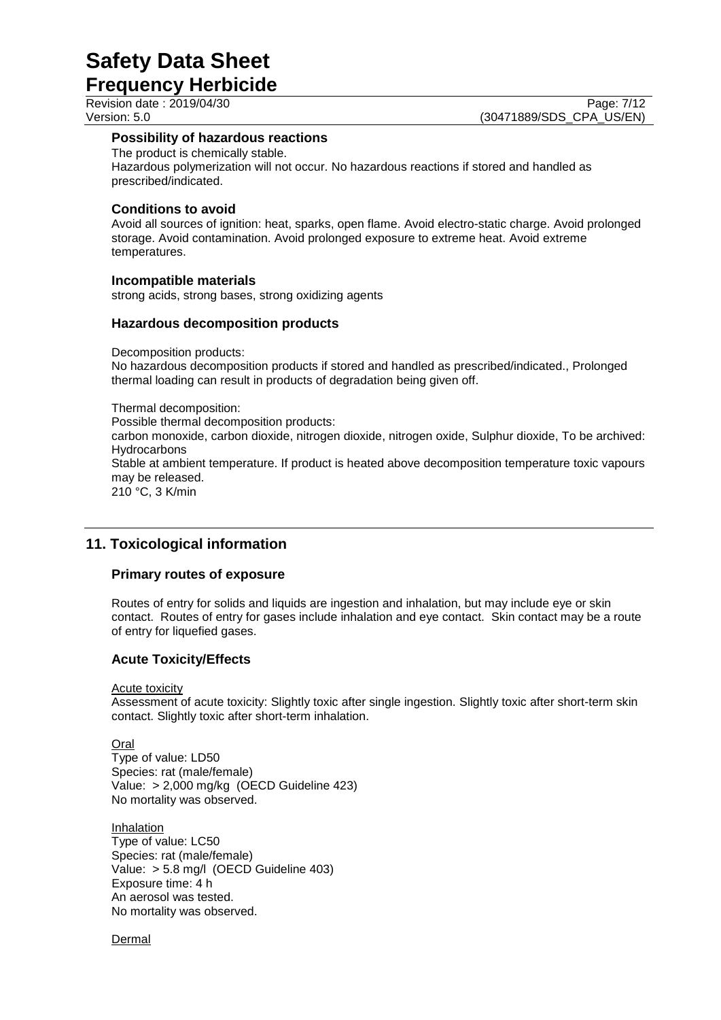**Frequency Herbicide**

Revision date : 2019/04/30 Page: 7/12<br>Version: 5.0 (30471889/SDS CPA US/EN) (30471889/SDS\_CPA\_US/EN)

#### **Possibility of hazardous reactions**

The product is chemically stable. Hazardous polymerization will not occur. No hazardous reactions if stored and handled as prescribed/indicated.

#### **Conditions to avoid**

Avoid all sources of ignition: heat, sparks, open flame. Avoid electro-static charge. Avoid prolonged storage. Avoid contamination. Avoid prolonged exposure to extreme heat. Avoid extreme temperatures.

#### **Incompatible materials**

strong acids, strong bases, strong oxidizing agents

#### **Hazardous decomposition products**

Decomposition products:

No hazardous decomposition products if stored and handled as prescribed/indicated., Prolonged thermal loading can result in products of degradation being given off.

#### Thermal decomposition: Possible thermal decomposition products: carbon monoxide, carbon dioxide, nitrogen dioxide, nitrogen oxide, Sulphur dioxide, To be archived:

**Hydrocarbons** Stable at ambient temperature. If product is heated above decomposition temperature toxic vapours

may be released. 210 °C, 3 K/min

### **11. Toxicological information**

#### **Primary routes of exposure**

Routes of entry for solids and liquids are ingestion and inhalation, but may include eye or skin contact. Routes of entry for gases include inhalation and eye contact. Skin contact may be a route of entry for liquefied gases.

#### **Acute Toxicity/Effects**

Acute toxicity

Assessment of acute toxicity: Slightly toxic after single ingestion. Slightly toxic after short-term skin contact. Slightly toxic after short-term inhalation.

Oral

Type of value: LD50 Species: rat (male/female) Value: > 2,000 mg/kg (OECD Guideline 423) No mortality was observed.

**Inhalation** Type of value: LC50 Species: rat (male/female) Value: > 5.8 mg/l (OECD Guideline 403) Exposure time: 4 h An aerosol was tested. No mortality was observed.

Dermal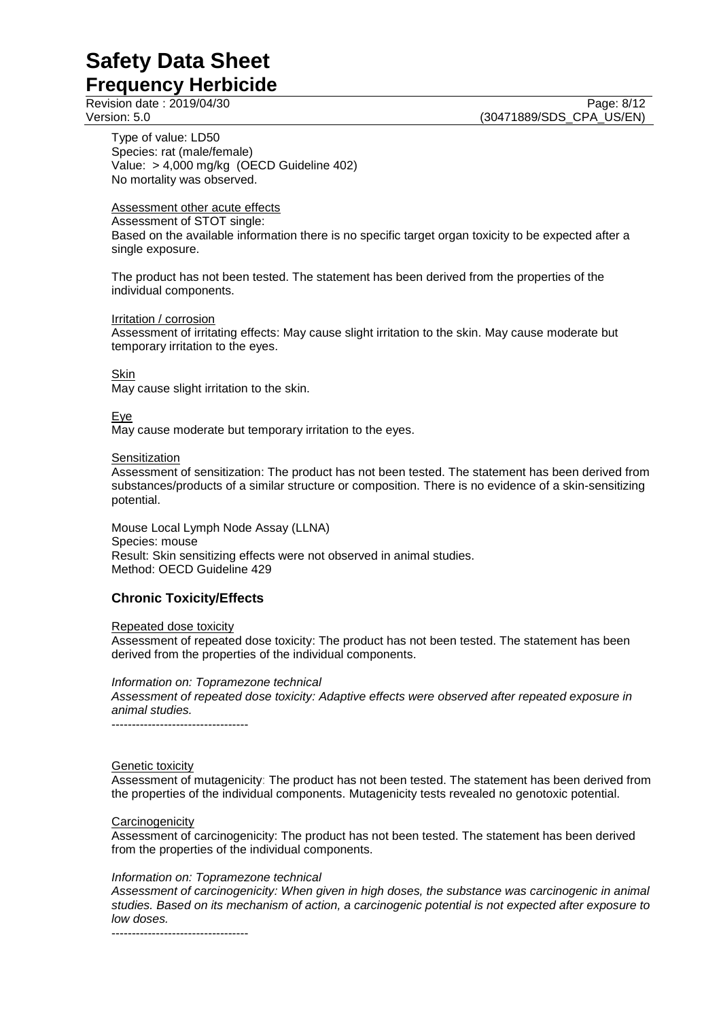Revision date : 2019/04/30 Page: 8/12<br>Version: 5.0 (30471889/SDS CPA US/EN)

Type of value: LD50 Species: rat (male/female) Value: > 4,000 mg/kg (OECD Guideline 402) No mortality was observed.

#### Assessment other acute effects

Assessment of STOT single:

Based on the available information there is no specific target organ toxicity to be expected after a single exposure.

(30471889/SDS\_CPA\_US/EN)

The product has not been tested. The statement has been derived from the properties of the individual components.

#### Irritation / corrosion

Assessment of irritating effects: May cause slight irritation to the skin. May cause moderate but temporary irritation to the eyes.

#### Skin

May cause slight irritation to the skin.

#### Eye

May cause moderate but temporary irritation to the eyes.

#### Sensitization

Assessment of sensitization: The product has not been tested. The statement has been derived from substances/products of a similar structure or composition. There is no evidence of a skin-sensitizing potential.

Mouse Local Lymph Node Assay (LLNA) Species: mouse Result: Skin sensitizing effects were not observed in animal studies. Method: OECD Guideline 429

#### **Chronic Toxicity/Effects**

Repeated dose toxicity Assessment of repeated dose toxicity: The product has not been tested. The statement has been derived from the properties of the individual components.

*Information on: Topramezone technical*

*Assessment of repeated dose toxicity: Adaptive effects were observed after repeated exposure in animal studies.*

----------------------------------

#### Genetic toxicity

Assessment of mutagenicity: The product has not been tested. The statement has been derived from the properties of the individual components. Mutagenicity tests revealed no genotoxic potential.

#### **Carcinogenicity**

Assessment of carcinogenicity: The product has not been tested. The statement has been derived from the properties of the individual components.

#### *Information on: Topramezone technical*

*Assessment of carcinogenicity: When given in high doses, the substance was carcinogenic in animal studies. Based on its mechanism of action, a carcinogenic potential is not expected after exposure to low doses.*

----------------------------------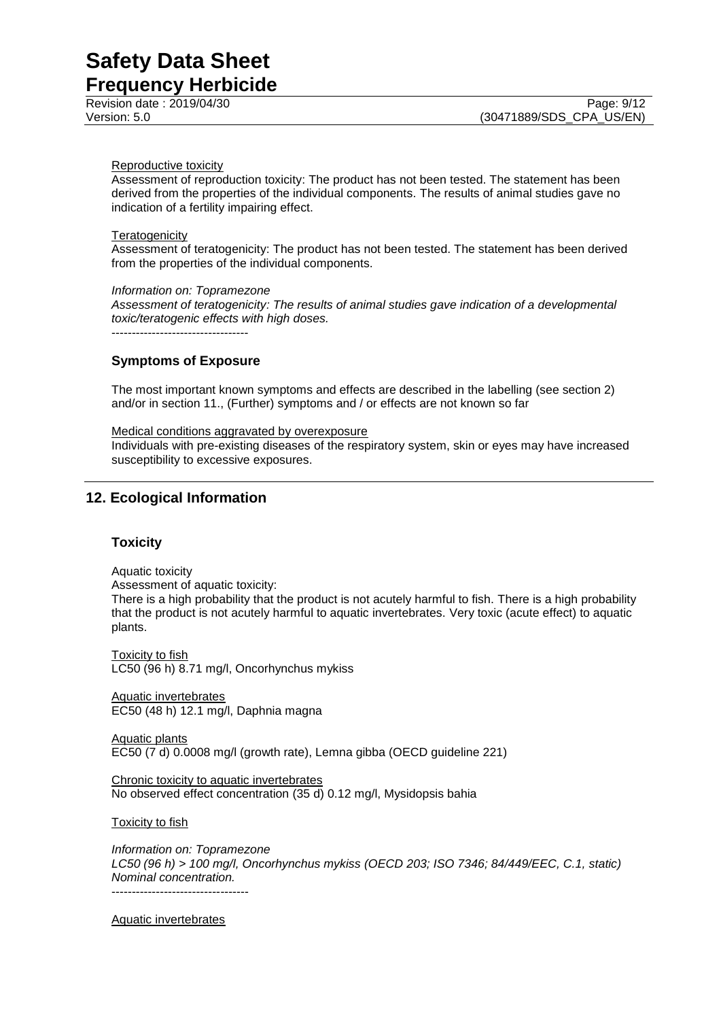Revision date : 2019/04/30 Page: 9/12<br>Version: 5.0 (30471889/SDS CPA US/EN)

#### Reproductive toxicity

Assessment of reproduction toxicity: The product has not been tested. The statement has been derived from the properties of the individual components. The results of animal studies gave no indication of a fertility impairing effect.

#### **Teratogenicity**

Assessment of teratogenicity: The product has not been tested. The statement has been derived from the properties of the individual components.

#### *Information on: Topramezone*

*Assessment of teratogenicity: The results of animal studies gave indication of a developmental toxic/teratogenic effects with high doses.*

----------------------------------

#### **Symptoms of Exposure**

The most important known symptoms and effects are described in the labelling (see section 2) and/or in section 11., (Further) symptoms and / or effects are not known so far

#### Medical conditions aggravated by overexposure

Individuals with pre-existing diseases of the respiratory system, skin or eyes may have increased susceptibility to excessive exposures.

#### **12. Ecological Information**

#### **Toxicity**

Aquatic toxicity

Assessment of aquatic toxicity:

There is a high probability that the product is not acutely harmful to fish. There is a high probability that the product is not acutely harmful to aquatic invertebrates. Very toxic (acute effect) to aquatic plants.

**Toxicity to fish** LC50 (96 h) 8.71 mg/l, Oncorhynchus mykiss

Aquatic invertebrates EC50 (48 h) 12.1 mg/l, Daphnia magna

Aquatic plants EC50 (7 d) 0.0008 mg/l (growth rate), Lemna gibba (OECD guideline 221)

Chronic toxicity to aquatic invertebrates No observed effect concentration (35 d) 0.12 mg/l, Mysidopsis bahia

Toxicity to fish

*Information on: Topramezone LC50 (96 h) > 100 mg/l, Oncorhynchus mykiss (OECD 203; ISO 7346; 84/449/EEC, C.1, static) Nominal concentration.* ----------------------------------

Aquatic invertebrates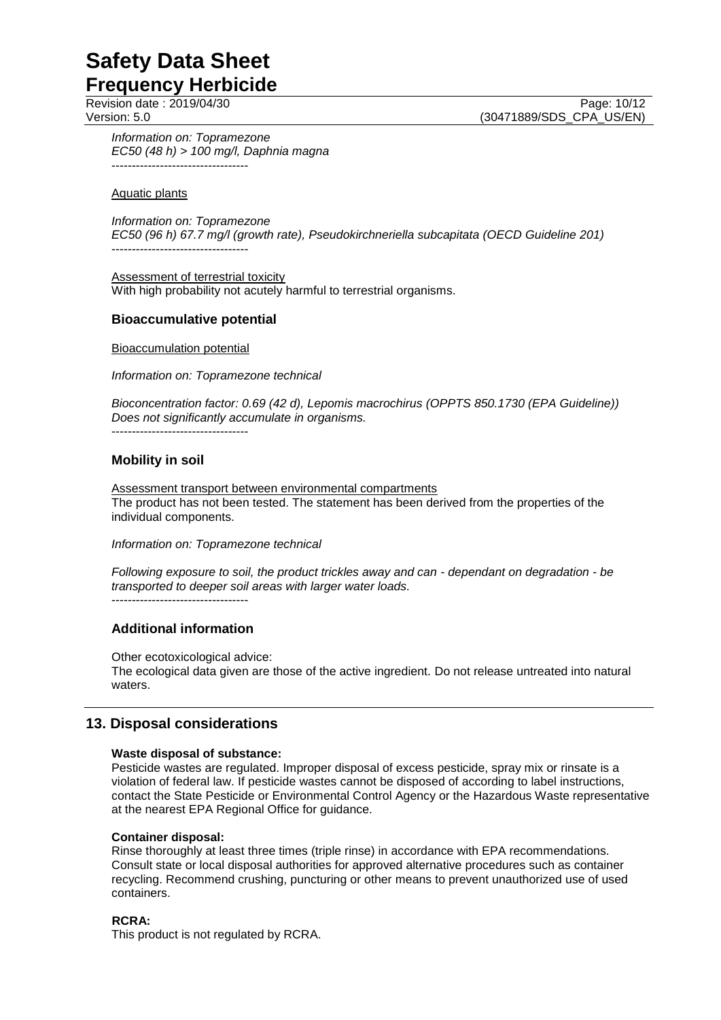Revision date : 2019/04/30 Page: 10/12<br>Version: 5.0 (30471889/SDS CPA US/EN) (30471889/SDS CPA US/EN)

*Information on: Topramezone EC50 (48 h) > 100 mg/l, Daphnia magna* ----------------------------------

Aquatic plants

*Information on: Topramezone EC50 (96 h) 67.7 mg/l (growth rate), Pseudokirchneriella subcapitata (OECD Guideline 201)* ----------------------------------

Assessment of terrestrial toxicity With high probability not acutely harmful to terrestrial organisms.

#### **Bioaccumulative potential**

Bioaccumulation potential

*Information on: Topramezone technical*

*Bioconcentration factor: 0.69 (42 d), Lepomis macrochirus (OPPTS 850.1730 (EPA Guideline)) Does not significantly accumulate in organisms.*

----------------------------------

#### **Mobility in soil**

Assessment transport between environmental compartments The product has not been tested. The statement has been derived from the properties of the individual components.

*Information on: Topramezone technical*

*Following exposure to soil, the product trickles away and can - dependant on degradation - be transported to deeper soil areas with larger water loads.*

----------------------------------

#### **Additional information**

Other ecotoxicological advice:

The ecological data given are those of the active ingredient. Do not release untreated into natural waters.

#### **13. Disposal considerations**

#### **Waste disposal of substance:**

Pesticide wastes are regulated. Improper disposal of excess pesticide, spray mix or rinsate is a violation of federal law. If pesticide wastes cannot be disposed of according to label instructions, contact the State Pesticide or Environmental Control Agency or the Hazardous Waste representative at the nearest EPA Regional Office for guidance.

#### **Container disposal:**

Rinse thoroughly at least three times (triple rinse) in accordance with EPA recommendations. Consult state or local disposal authorities for approved alternative procedures such as container recycling. Recommend crushing, puncturing or other means to prevent unauthorized use of used containers.

#### **RCRA:**

This product is not regulated by RCRA.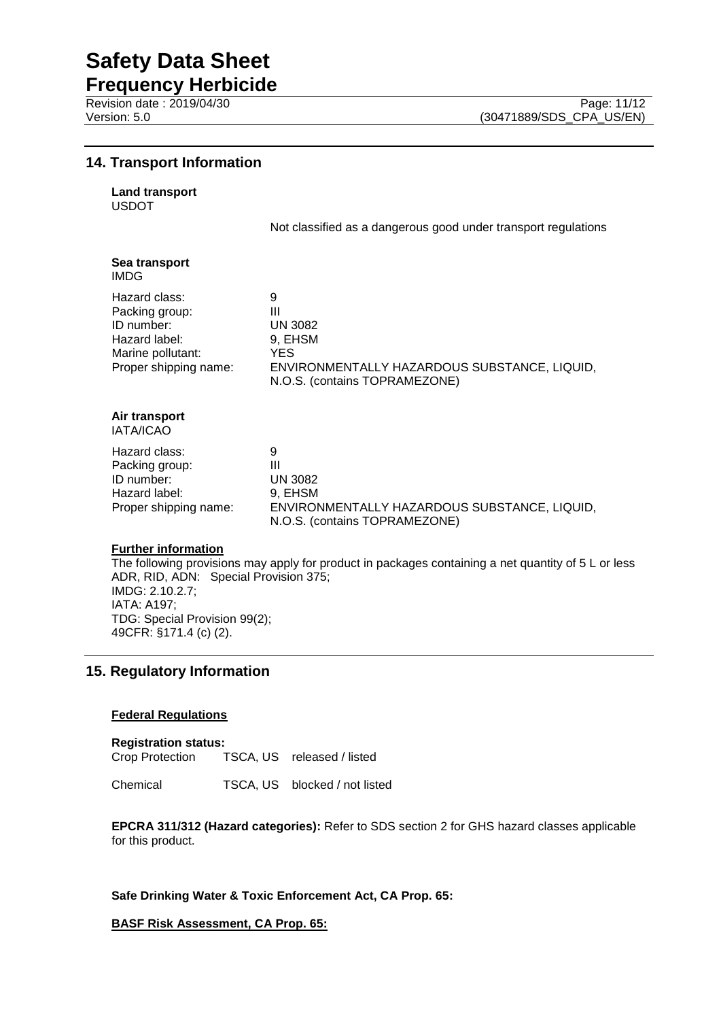**Frequency Herbicide** Revision date : 2019/04/30 Page: 11/12<br>Version: 5.0 (30471889/SDS CPA US/EN)

#### **14. Transport Information**

**Land transport**

USDOT

Not classified as a dangerous good under transport regulations

| Sea transport<br>IMDG                                                                                        |                                                                                                                       |
|--------------------------------------------------------------------------------------------------------------|-----------------------------------------------------------------------------------------------------------------------|
| Hazard class:<br>Packing group:<br>ID number:<br>Hazard label:<br>Marine pollutant:<br>Proper shipping name: | 9<br>Ш<br>UN 3082<br>9, EHSM<br>YES.<br>ENVIRONMENTALLY HAZARDOUS SUBSTANCE, LIQUID,<br>N.O.S. (contains TOPRAMEZONE) |
| Air transport<br><b>IATA/ICAO</b>                                                                            |                                                                                                                       |
| Hazard class:<br>Packing group:<br>ID number:<br>Hazard label:<br>Proper shipping name:                      | 9<br>Ш<br>UN 3082<br>9, EHSM<br>ENVIRONMENTALLY HAZARDOUS SUBSTANCE, LIQUID,                                          |

#### **Further information**

The following provisions may apply for product in packages containing a net quantity of 5 L or less ADR, RID, ADN: Special Provision 375; IMDG: 2.10.2.7; IATA: A197; TDG: Special Provision 99(2); 49CFR: §171.4 (c) (2).

N.O.S. (contains TOPRAMEZONE)

#### **15. Regulatory Information**

#### **Federal Regulations**

**Registration status:** Crop Protection TSCA, US released / listed

Chemical TSCA, US blocked / not listed

**EPCRA 311/312 (Hazard categories):** Refer to SDS section 2 for GHS hazard classes applicable for this product.

**Safe Drinking Water & Toxic Enforcement Act, CA Prop. 65:**

**BASF Risk Assessment, CA Prop. 65:**